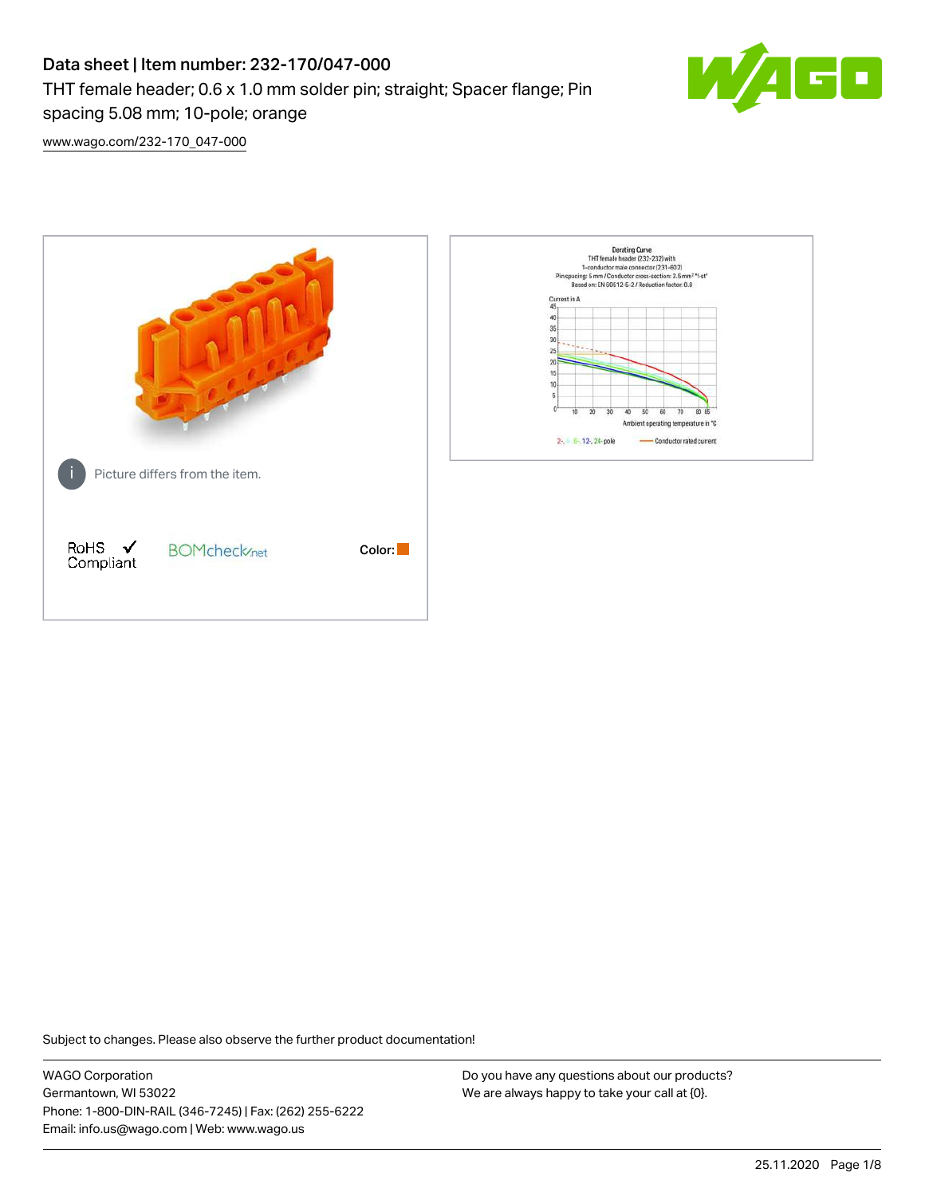# Data sheet | Item number: 232-170/047-000 THT female header; 0.6 x 1.0 mm solder pin; straight; Spacer flange; Pin spacing 5.08 mm; 10-pole; orange



[www.wago.com/232-170\\_047-000](http://www.wago.com/232-170_047-000)



Subject to changes. Please also observe the further product documentation!

WAGO Corporation Germantown, WI 53022 Phone: 1-800-DIN-RAIL (346-7245) | Fax: (262) 255-6222 Email: info.us@wago.com | Web: www.wago.us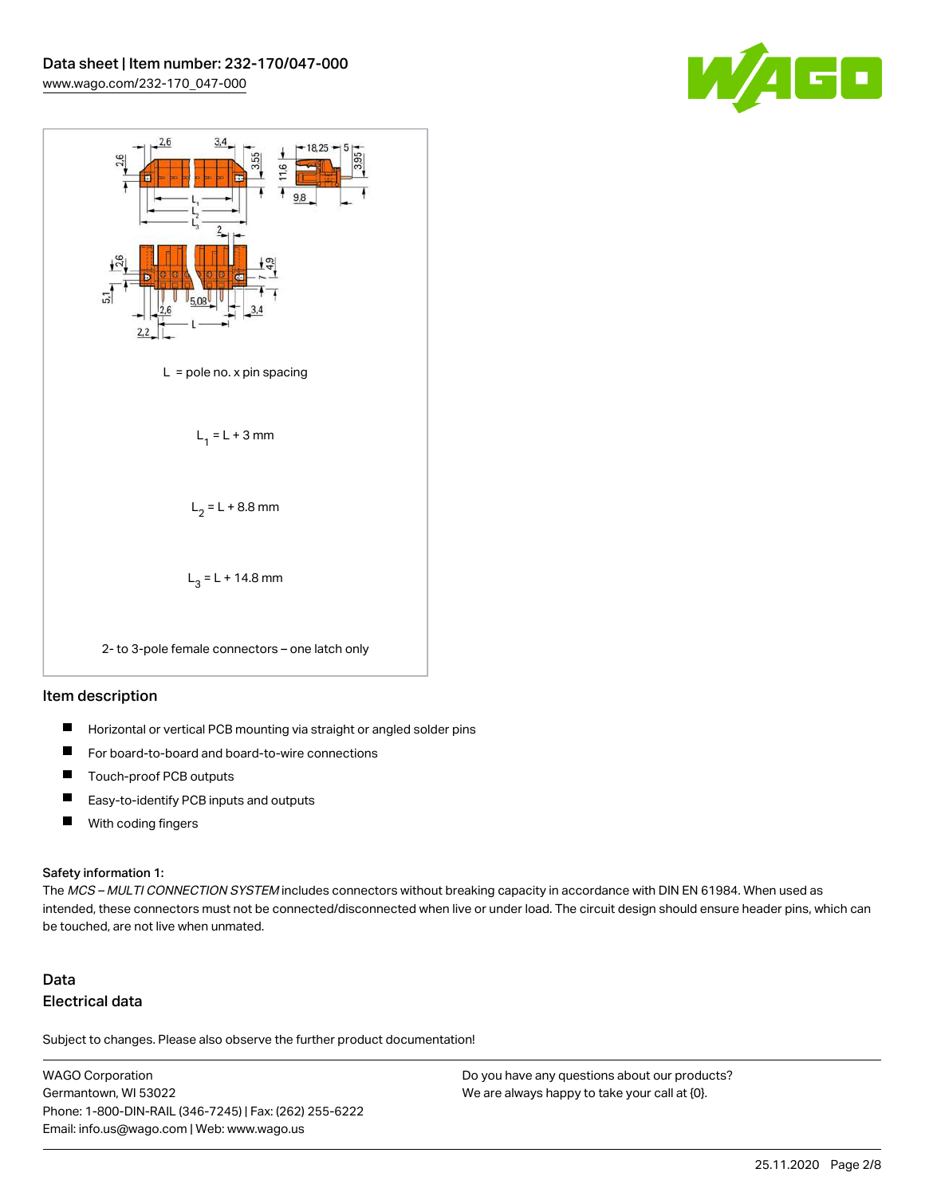



#### Item description

- $\blacksquare$ Horizontal or vertical PCB mounting via straight or angled solder pins
- П For board-to-board and board-to-wire connections
- $\blacksquare$ Touch-proof PCB outputs
- $\blacksquare$ Easy-to-identify PCB inputs and outputs
- $\blacksquare$ With coding fingers

#### Safety information 1:

The MCS - MULTI CONNECTION SYSTEM includes connectors without breaking capacity in accordance with DIN EN 61984. When used as intended, these connectors must not be connected/disconnected when live or under load. The circuit design should ensure header pins, which can be touched, are not live when unmated.

# Data Electrical data

Subject to changes. Please also observe the further product documentation!

WAGO Corporation Germantown, WI 53022 Phone: 1-800-DIN-RAIL (346-7245) | Fax: (262) 255-6222 Email: info.us@wago.com | Web: www.wago.us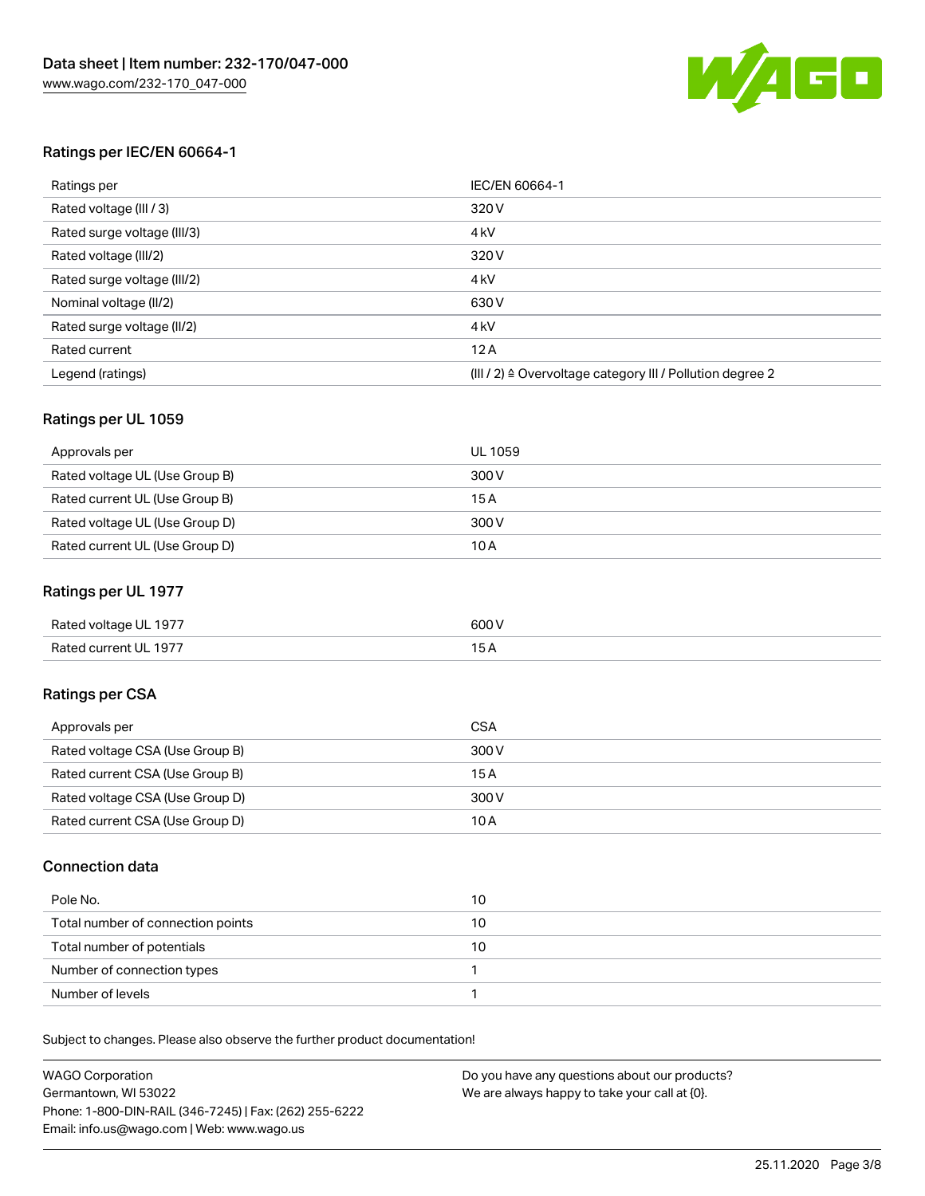

### Ratings per IEC/EN 60664-1

| Ratings per                 | IEC/EN 60664-1                                                        |
|-----------------------------|-----------------------------------------------------------------------|
| Rated voltage (III / 3)     | 320 V                                                                 |
| Rated surge voltage (III/3) | 4 <sub>k</sub> V                                                      |
| Rated voltage (III/2)       | 320 V                                                                 |
| Rated surge voltage (III/2) | 4 <sub>k</sub> V                                                      |
| Nominal voltage (II/2)      | 630 V                                                                 |
| Rated surge voltage (II/2)  | 4 <sub>k</sub> V                                                      |
| Rated current               | 12A                                                                   |
| Legend (ratings)            | $(III / 2)$ $\triangle$ Overvoltage category III / Pollution degree 2 |

### Ratings per UL 1059

| Approvals per                  | UL 1059 |
|--------------------------------|---------|
| Rated voltage UL (Use Group B) | 300 V   |
| Rated current UL (Use Group B) | 15 A    |
| Rated voltage UL (Use Group D) | 300 V   |
| Rated current UL (Use Group D) | 10A     |

### Ratings per UL 1977

| Rated voltage UL 1977 | 600 <sup>V</sup><br>. |
|-----------------------|-----------------------|
| Rated current UL 1977 |                       |

### Ratings per CSA

| Approvals per                   | CSA   |
|---------------------------------|-------|
| Rated voltage CSA (Use Group B) | 300 V |
| Rated current CSA (Use Group B) | 15A   |
| Rated voltage CSA (Use Group D) | 300 V |
| Rated current CSA (Use Group D) | 10 A  |

### Connection data

| Pole No.                          | 10 |
|-----------------------------------|----|
| Total number of connection points | 10 |
| Total number of potentials        | 10 |
| Number of connection types        |    |
| Number of levels                  |    |

Subject to changes. Please also observe the further product documentation!

| <b>WAGO Corporation</b>                                | Do you have any questions about our products? |
|--------------------------------------------------------|-----------------------------------------------|
| Germantown, WI 53022                                   | We are always happy to take your call at {0}. |
| Phone: 1-800-DIN-RAIL (346-7245)   Fax: (262) 255-6222 |                                               |
| Email: info.us@wago.com   Web: www.wago.us             |                                               |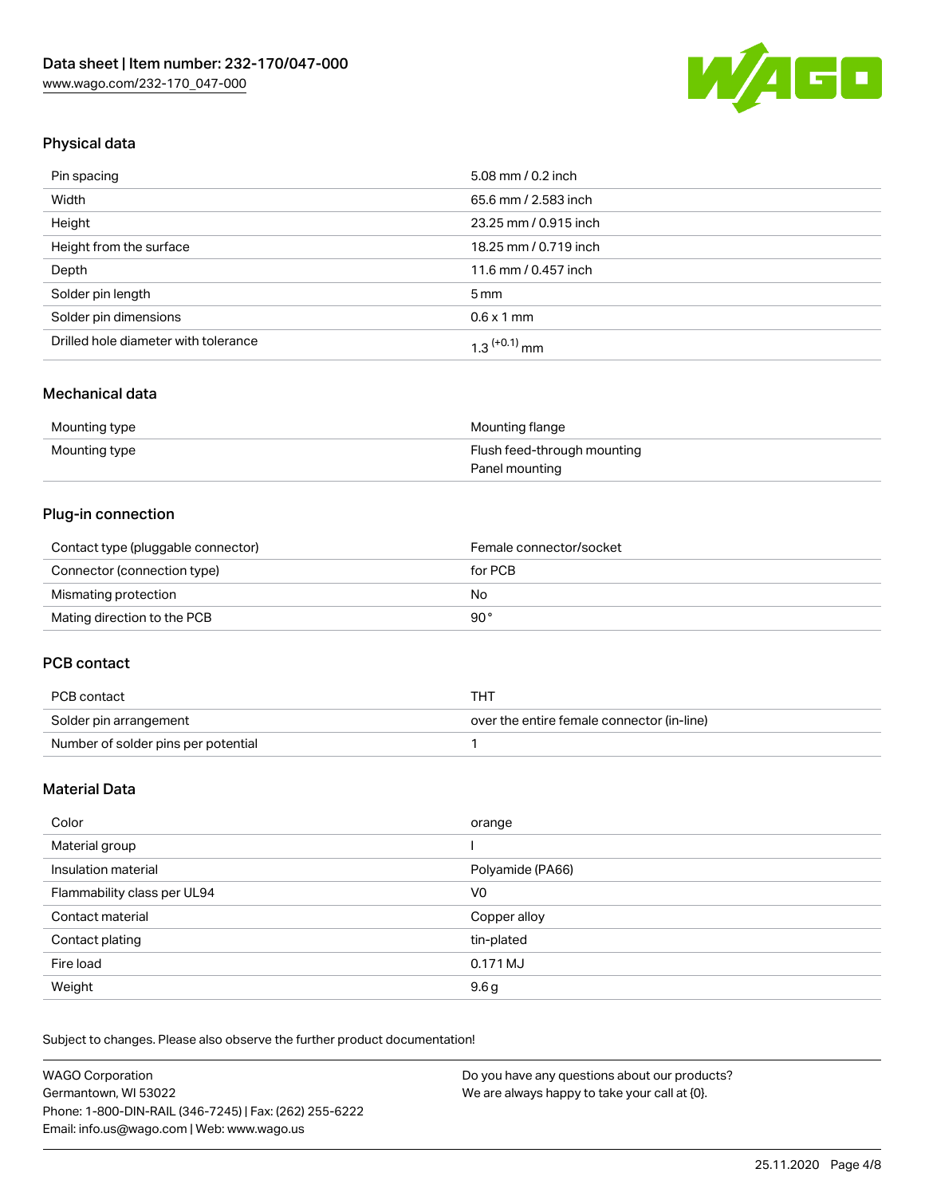

## Physical data

| Pin spacing                          | 5.08 mm / 0.2 inch    |
|--------------------------------------|-----------------------|
| Width                                | 65.6 mm / 2.583 inch  |
| Height                               | 23.25 mm / 0.915 inch |
| Height from the surface              | 18.25 mm / 0.719 inch |
| Depth                                | 11.6 mm / 0.457 inch  |
| Solder pin length                    | $5 \,\mathrm{mm}$     |
| Solder pin dimensions                | $0.6 \times 1$ mm     |
| Drilled hole diameter with tolerance | $1.3$ $(+0.1)$ mm     |

### Mechanical data

| Mounting type | Mounting flange             |
|---------------|-----------------------------|
| Mounting type | Flush feed-through mounting |
|               | Panel mounting              |

### Plug-in connection

| Contact type (pluggable connector) | Female connector/socket |
|------------------------------------|-------------------------|
| Connector (connection type)        | for PCB                 |
| Mismating protection               | No                      |
| Mating direction to the PCB        | 90°                     |

### PCB contact

| PCB contact                         | тнт                                        |
|-------------------------------------|--------------------------------------------|
| Solder pin arrangement              | over the entire female connector (in-line) |
| Number of solder pins per potential |                                            |

### Material Data

| Color                       | orange           |
|-----------------------------|------------------|
| Material group              |                  |
| Insulation material         | Polyamide (PA66) |
| Flammability class per UL94 | V0               |
| Contact material            | Copper alloy     |
| Contact plating             | tin-plated       |
| Fire load                   | 0.171 MJ         |
| Weight                      | 9.6 <sub>g</sub> |

Subject to changes. Please also observe the further product documentation!

| <b>WAGO Corporation</b>                                | Do you have any questions about our products? |
|--------------------------------------------------------|-----------------------------------------------|
| Germantown, WI 53022                                   | We are always happy to take your call at {0}. |
| Phone: 1-800-DIN-RAIL (346-7245)   Fax: (262) 255-6222 |                                               |
| Email: info.us@wago.com   Web: www.wago.us             |                                               |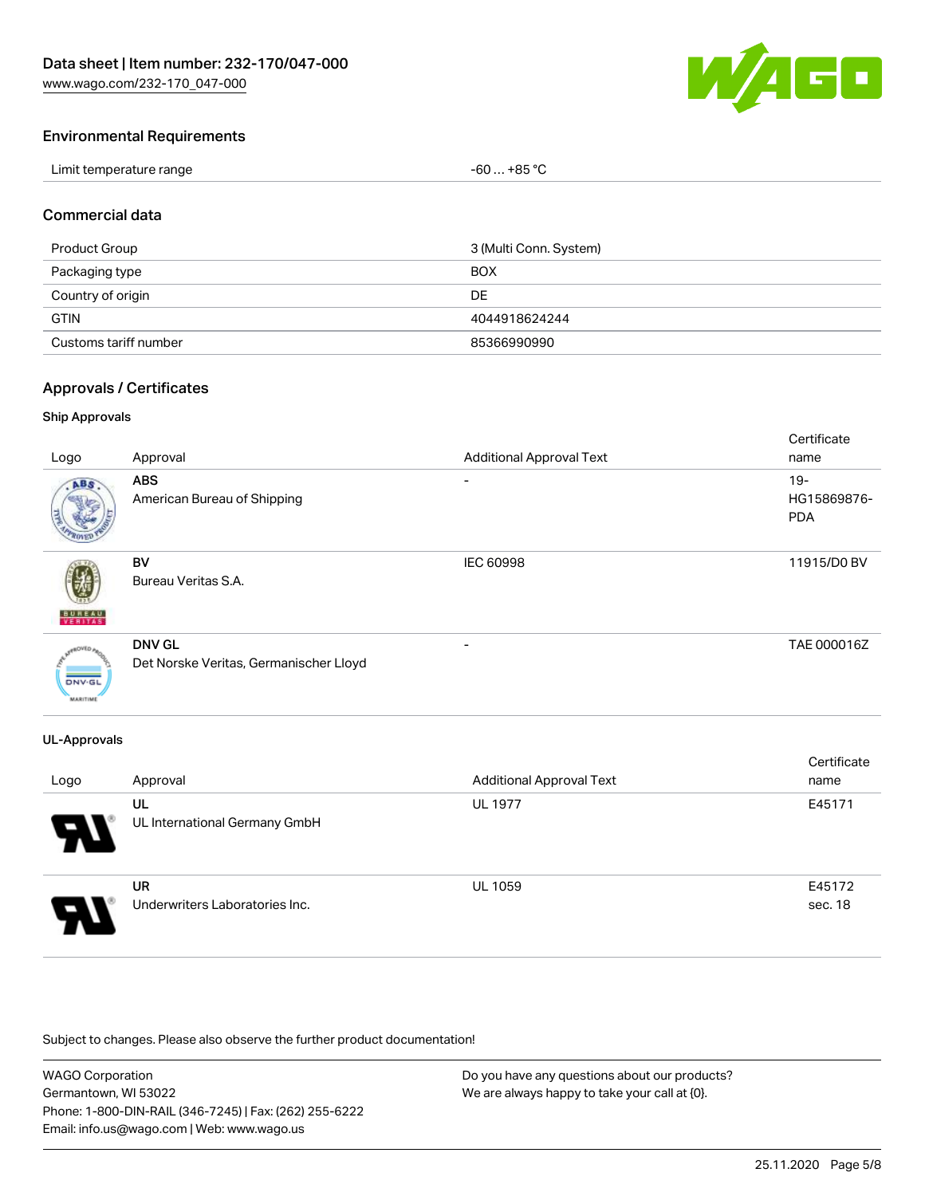[www.wago.com/232-170\\_047-000](http://www.wago.com/232-170_047-000)



### Environmental Requirements

| Limit temperature range | . +85 °C<br>-60<br>___ |
|-------------------------|------------------------|
|-------------------------|------------------------|

### Commercial data

| Product Group         | 3 (Multi Conn. System) |
|-----------------------|------------------------|
| Packaging type        | <b>BOX</b>             |
| Country of origin     | DE.                    |
| <b>GTIN</b>           | 4044918624244          |
| Customs tariff number | 85366990990            |

### Approvals / Certificates

### Ship Approvals

| Logo                      | Approval                                                | <b>Additional Approval Text</b> | Certificate<br>name                 |
|---------------------------|---------------------------------------------------------|---------------------------------|-------------------------------------|
| ABS                       | <b>ABS</b><br>American Bureau of Shipping               | ۰                               | $19 -$<br>HG15869876-<br><b>PDA</b> |
| <b>BUREAU</b>             | <b>BV</b><br>Bureau Veritas S.A.                        | <b>IEC 60998</b>                | 11915/D0 BV                         |
| DNV-GL<br><b>MARITIME</b> | <b>DNV GL</b><br>Det Norske Veritas, Germanischer Lloyd |                                 | TAE 000016Z                         |

### UL-Approvals

| Logo | Approval                                    | <b>Additional Approval Text</b> | Certificate<br>name |
|------|---------------------------------------------|---------------------------------|---------------------|
| 8    | UL<br>UL International Germany GmbH         | <b>UL 1977</b>                  | E45171              |
| Э.   | <b>UR</b><br>Underwriters Laboratories Inc. | <b>UL 1059</b>                  | E45172<br>sec. 18   |

Subject to changes. Please also observe the further product documentation!

| <b>WAGO Corporation</b>                                | Do you have any questions about our products? |
|--------------------------------------------------------|-----------------------------------------------|
| Germantown, WI 53022                                   | We are always happy to take your call at {0}. |
| Phone: 1-800-DIN-RAIL (346-7245)   Fax: (262) 255-6222 |                                               |
| Email: info.us@wago.com   Web: www.wago.us             |                                               |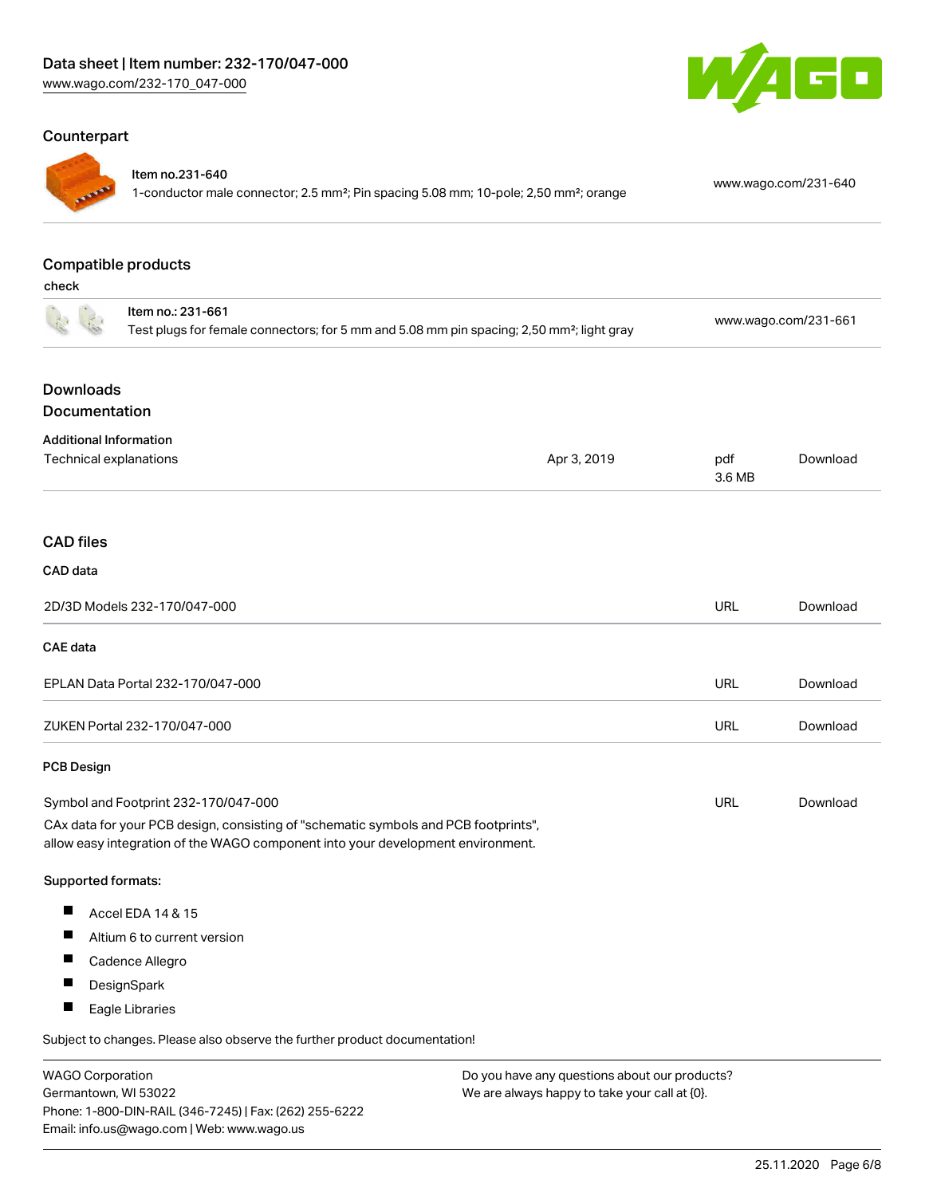### Counterpart



#### Item no.231-640

1-conductor male connector; 2.5 mm²; Pin spacing 5.08 mm; 10-pole; 2,50 mm²; orange [www.wago.com/231-640](https://www.wago.com/231-640)

### Compatible products

check

|                                                         | Item no.: 231-661<br>Test plugs for female connectors; for 5 mm and 5.08 mm pin spacing; 2,50 mm <sup>2</sup> ; light gray                                             |             | www.wago.com/231-661 |          |
|---------------------------------------------------------|------------------------------------------------------------------------------------------------------------------------------------------------------------------------|-------------|----------------------|----------|
| <b>Downloads</b><br>Documentation                       |                                                                                                                                                                        |             |                      |          |
| <b>Additional Information</b><br>Technical explanations |                                                                                                                                                                        | Apr 3, 2019 | pdf<br>3.6 MB        | Download |
| <b>CAD</b> files                                        |                                                                                                                                                                        |             |                      |          |
| CAD data                                                |                                                                                                                                                                        |             |                      |          |
|                                                         | 2D/3D Models 232-170/047-000                                                                                                                                           |             | URL                  | Download |
| CAE data                                                |                                                                                                                                                                        |             |                      |          |
|                                                         | EPLAN Data Portal 232-170/047-000                                                                                                                                      |             | <b>URL</b>           | Download |
|                                                         | ZUKEN Portal 232-170/047-000                                                                                                                                           |             | <b>URL</b>           | Download |
| <b>PCB Design</b>                                       |                                                                                                                                                                        |             |                      |          |
|                                                         | Symbol and Footprint 232-170/047-000                                                                                                                                   |             | <b>URL</b>           | Download |
|                                                         | CAx data for your PCB design, consisting of "schematic symbols and PCB footprints",<br>allow easy integration of the WAGO component into your development environment. |             |                      |          |
| Supported formats:                                      |                                                                                                                                                                        |             |                      |          |
| Ш                                                       | Accel EDA 14 & 15                                                                                                                                                      |             |                      |          |
| ш                                                       | Altium 6 to current version                                                                                                                                            |             |                      |          |
| ш                                                       | Cadence Allegro                                                                                                                                                        |             |                      |          |
| п                                                       | DesignSpark                                                                                                                                                            |             |                      |          |
| ш                                                       | Eagle Libraries                                                                                                                                                        |             |                      |          |
|                                                         | Subject to changes. Please also observe the further product documentation!                                                                                             |             |                      |          |

WAGO Corporation Germantown, WI 53022 Phone: 1-800-DIN-RAIL (346-7245) | Fax: (262) 255-6222 Email: info.us@wago.com | Web: www.wago.us

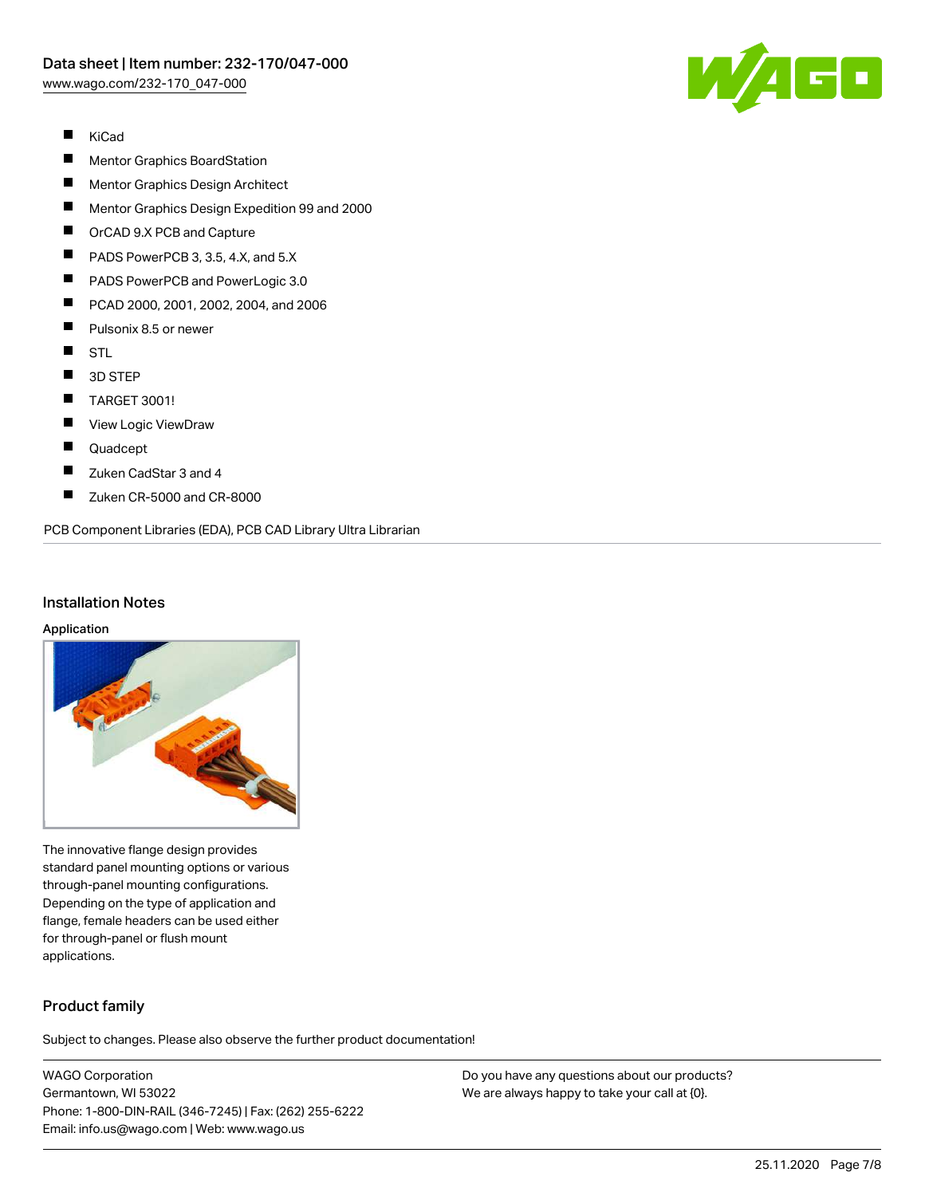

- $\blacksquare$ KiCad
- П Mentor Graphics BoardStation
- $\blacksquare$ Mentor Graphics Design Architect
- $\blacksquare$ Mentor Graphics Design Expedition 99 and 2000
- $\blacksquare$ OrCAD 9.X PCB and Capture
- $\blacksquare$ PADS PowerPCB 3, 3.5, 4.X, and 5.X
- $\blacksquare$ PADS PowerPCB and PowerLogic 3.0
- $\blacksquare$ PCAD 2000, 2001, 2002, 2004, and 2006
- П Pulsonix 8.5 or newer
- $\blacksquare$ STL
- $\blacksquare$ 3D STEP
- $\blacksquare$ TARGET 3001!
- $\blacksquare$ View Logic ViewDraw
- $\blacksquare$ Quadcept
- $\blacksquare$ Zuken CadStar 3 and 4
- $\blacksquare$ Zuken CR-5000 and CR-8000

PCB Component Libraries (EDA), PCB CAD Library Ultra Librarian

#### Installation Notes

#### Application



The innovative flange design provides standard panel mounting options or various through-panel mounting configurations. Depending on the type of application and flange, female headers can be used either for through-panel or flush mount applications.

### Product family

Subject to changes. Please also observe the further product documentation!

WAGO Corporation Germantown, WI 53022 Phone: 1-800-DIN-RAIL (346-7245) | Fax: (262) 255-6222 Email: info.us@wago.com | Web: www.wago.us